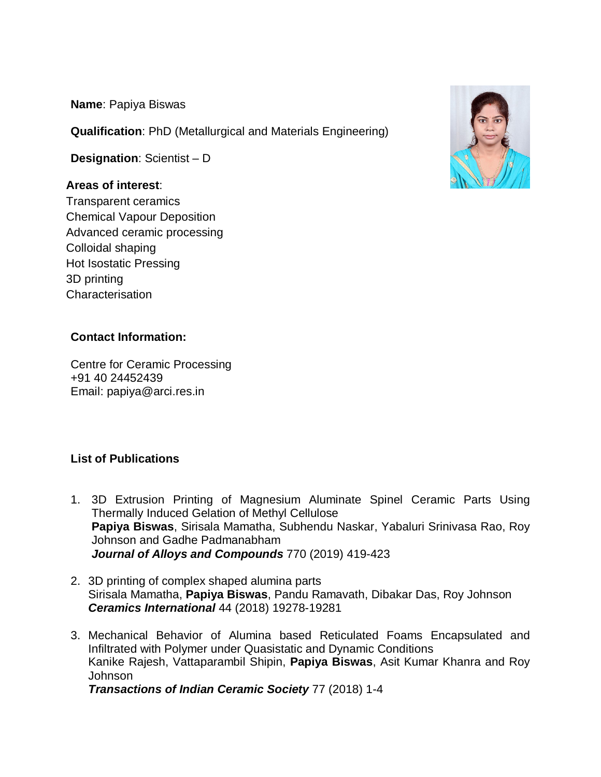**Name**: Papiya Biswas

**Qualification**: PhD (Metallurgical and Materials Engineering)

**Designation**: Scientist – D

# **Areas of interest**:

Transparent ceramics Chemical Vapour Deposition Advanced ceramic processing Colloidal shaping Hot Isostatic Pressing 3D printing Characterisation



# **Contact Information:**

Centre for Ceramic Processing +91 40 24452439 Email: papiya@arci.res.in

# **List of Publications**

- 1. 3D Extrusion Printing of Magnesium Aluminate Spinel Ceramic Parts Using Thermally Induced Gelation of Methyl Cellulose **Papiya Biswas**, Sirisala Mamatha, Subhendu Naskar, Yabaluri Srinivasa Rao, Roy Johnson and Gadhe Padmanabham *Journal of Alloys and Compounds* 770 (2019) 419-423
- 2. 3D printing of complex shaped alumina parts Sirisala Mamatha, **Papiya Biswas**, Pandu Ramavath, Dibakar Das, Roy Johnson *Ceramics International* 44 (2018) 19278-19281
- 3. Mechanical Behavior of Alumina based Reticulated Foams Encapsulated and Infiltrated with Polymer under Quasistatic and Dynamic Conditions Kanike Rajesh, Vattaparambil Shipin, **Papiya Biswas**, Asit Kumar Khanra and Roy Johnson *Transactions of Indian Ceramic Society* 77 (2018) 1*-*4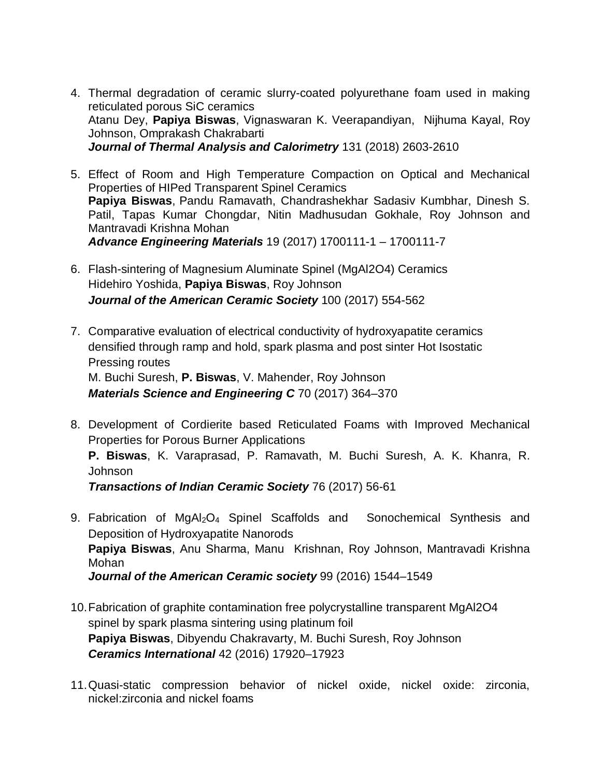- 4. Thermal degradation of ceramic slurry-coated polyurethane foam used in making reticulated porous SiC ceramics Atanu Dey, **Papiya Biswas**, Vignaswaran K. Veerapandiyan, Nijhuma Kayal, Roy Johnson, Omprakash Chakrabarti *Journal of Thermal Analysis and Calorimetry* 131 (2018) 2603-2610
- 5. Effect of Room and High Temperature Compaction on Optical and Mechanical Properties of HIPed Transparent Spinel Ceramics **Papiya Biswas**, Pandu Ramavath, Chandrashekhar Sadasiv Kumbhar, Dinesh S. Patil, Tapas Kumar Chongdar, Nitin Madhusudan Gokhale, Roy Johnson and Mantravadi Krishna Mohan *Advance Engineering Materials* 19 (2017) 1700111-1 – 1700111-7
- 6. Flash-sintering of Magnesium Aluminate Spinel (MgAl2O4) Ceramics Hidehiro Yoshida, **Papiya Biswas**, Roy Johnson *Journal of the American Ceramic Society* 100 (2017) 554-562
- 7. Comparative evaluation of electrical conductivity of hydroxyapatite ceramics densified through ramp and hold, spark plasma and post sinter Hot Isostatic Pressing routes M. Buchi Suresh, **P. Biswas**, V. Mahender, Roy Johnson *Materials Science and Engineering C* 70 (2017) 364–370
- 8. Development of Cordierite based Reticulated Foams with Improved Mechanical Properties for Porous Burner Applications **P. Biswas**, K. Varaprasad, P. Ramavath, M. Buchi Suresh, A. K. Khanra, R. Johnson

*Transactions of Indian Ceramic Society* 76 (2017) 56-61

- 9. Fabrication of MgAl<sub>2</sub>O<sub>4</sub> Spinel Scaffolds and Sonochemical Synthesis and Deposition of Hydroxyapatite Nanorods **Papiya Biswas**, Anu Sharma, Manu Krishnan, Roy Johnson, Mantravadi Krishna Mohan *Journal of the American Ceramic society* 99 (2016) 1544–1549
- 10.Fabrication of graphite contamination free polycrystalline transparent MgAl2O4 spinel by spark plasma sintering using platinum foil **Papiya Biswas**, Dibyendu Chakravarty, M. Buchi Suresh, Roy Johnson *Ceramics International* 42 (2016) 17920–17923
- 11.Quasi-static compression behavior of nickel oxide, nickel oxide: zirconia, nickel:zirconia and nickel foams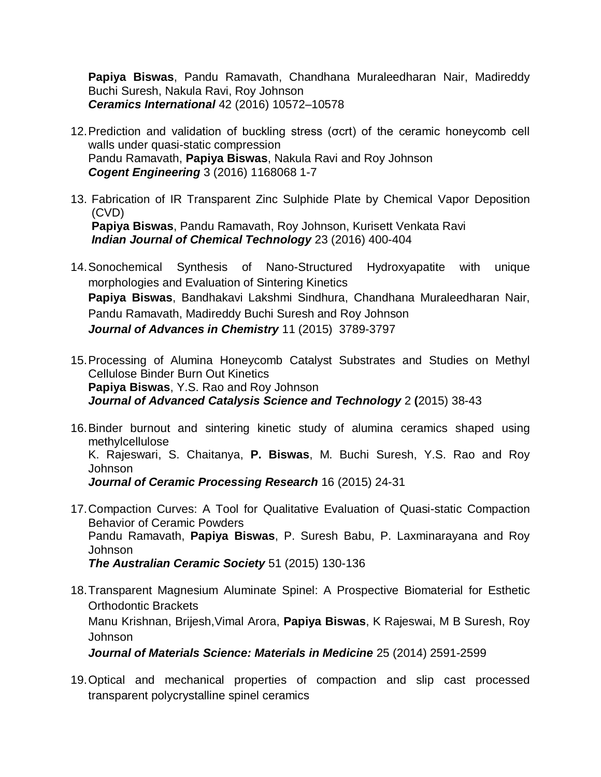**Papiya Biswas**, Pandu Ramavath, Chandhana Muraleedharan Nair, Madireddy Buchi Suresh, Nakula Ravi, Roy Johnson *Ceramics International* 42 (2016) 10572–10578

- 12.Prediction and validation of buckling stress (σcrt) of the ceramic honeycomb cell walls under quasi-static compression Pandu Ramavath, **Papiya Biswas**, Nakula Ravi and Roy Johnson *Cogent Engineering* 3 (2016) 1168068 1-7
- 13. Fabrication of IR Transparent Zinc Sulphide Plate by Chemical Vapor Deposition (CVD) **Papiya Biswas**, Pandu Ramavath, Roy Johnson, Kurisett Venkata Ravi *Indian Journal of Chemical Technology* 23 (2016) 400-404
- 14.Sonochemical Synthesis of Nano-Structured Hydroxyapatite with unique morphologies and Evaluation of Sintering Kinetics **Papiya Biswas**, Bandhakavi Lakshmi Sindhura, Chandhana Muraleedharan Nair, Pandu Ramavath, Madireddy Buchi Suresh and Roy Johnson *Journal of Advances in Chemistry* 11 (2015) 3789-3797
- 15.Processing of Alumina Honeycomb Catalyst Substrates and Studies on Methyl Cellulose Binder Burn Out Kinetics **Papiya Biswas**, Y.S. Rao and Roy Johnson *Journal of Advanced Catalysis Science and Technology* 2 **(**2015) 38-43
- 16.Binder burnout and sintering kinetic study of alumina ceramics shaped using methylcellulose K. Rajeswari, S. Chaitanya, **P. Biswas**, M. Buchi Suresh, Y.S. Rao and Roy Johnson *Journal of Ceramic Processing Research* 16 (2015) 24-31
- 17.Compaction Curves: A Tool for Qualitative Evaluation of Quasi-static Compaction Behavior of Ceramic Powders Pandu Ramavath, **Papiya Biswas**, P. Suresh Babu, P. Laxminarayana and Roy Johnson *The Australian Ceramic Society* 51 (2015) 130-136
- 18.Transparent Magnesium Aluminate Spinel: A Prospective Biomaterial for Esthetic Orthodontic Brackets Manu Krishnan, Brijesh,Vimal Arora, **Papiya Biswas**, K Rajeswai, M B Suresh, Roy Johnson

*Journal of Materials Science: Materials in Medicine* 25 (2014) 2591-2599

19.Optical and mechanical properties of compaction and slip cast processed transparent polycrystalline spinel ceramics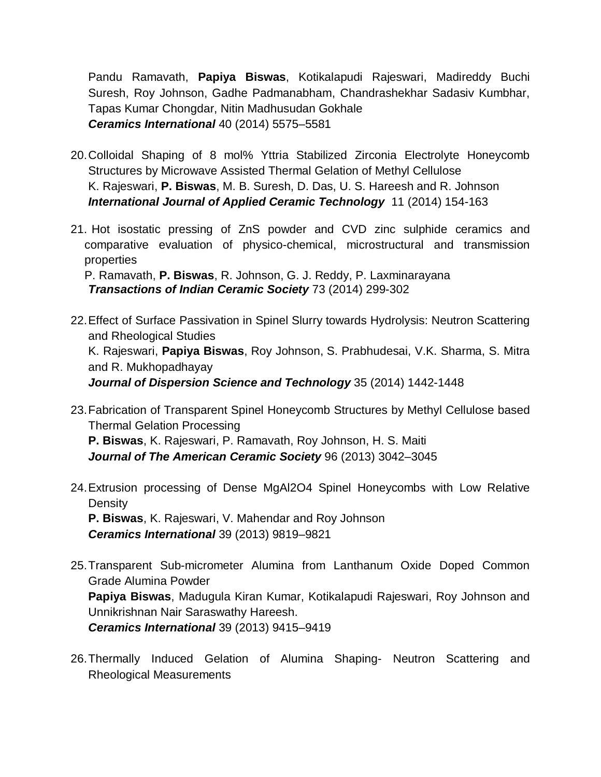Pandu Ramavath, **Papiya Biswas**, Kotikalapudi Rajeswari, Madireddy Buchi Suresh, Roy Johnson, Gadhe Padmanabham, Chandrashekhar Sadasiv Kumbhar, Tapas Kumar Chongdar, Nitin Madhusudan Gokhale *Ceramics International* 40 (2014) 5575–5581

- 20.Colloidal Shaping of 8 mol% Yttria Stabilized Zirconia Electrolyte Honeycomb Structures by Microwave Assisted Thermal Gelation of Methyl Cellulose K. Rajeswari, **P. Biswas**, M. B. Suresh, D. Das, U. S. Hareesh and R. Johnson *International Journal of Applied Ceramic Technology* 11 (2014) 154-163
- 21. Hot isostatic pressing of ZnS powder and CVD zinc sulphide ceramics and comparative evaluation of physico-chemical, microstructural and transmission properties

P. Ramavath, **P. Biswas**, R. Johnson, G. J. Reddy, P. Laxminarayana *Transactions of Indian Ceramic Society* 73 (2014) 299-302

22.Effect of Surface Passivation in Spinel Slurry towards Hydrolysis: Neutron Scattering and Rheological Studies K. Rajeswari, **Papiya Biswas**, Roy Johnson, S. Prabhudesai, V.K. Sharma, S. Mitra and R. Mukhopadhayay

*Journal of Dispersion Science and Technology* 35 (2014) 1442-1448

- 23.Fabrication of Transparent Spinel Honeycomb Structures by Methyl Cellulose based Thermal Gelation Processing **P. Biswas**, K. Rajeswari, P. Ramavath, Roy Johnson, H. S. Maiti *Journal of The American Ceramic Society* 96 (2013) 3042–3045
- 24.Extrusion processing of Dense MgAl2O4 Spinel Honeycombs with Low Relative **Density P. Biswas**, K. Rajeswari, V. Mahendar and Roy Johnson

*Ceramics International* 39 (2013) 9819–9821

- 25.Transparent Sub-micrometer Alumina from Lanthanum Oxide Doped Common Grade Alumina Powder **Papiya Biswas**, Madugula Kiran Kumar, Kotikalapudi Rajeswari, Roy Johnson and Unnikrishnan Nair Saraswathy Hareesh. *Ceramics International* 39 (2013) 9415–9419
- 26.Thermally Induced Gelation of Alumina Shaping- Neutron Scattering and Rheological Measurements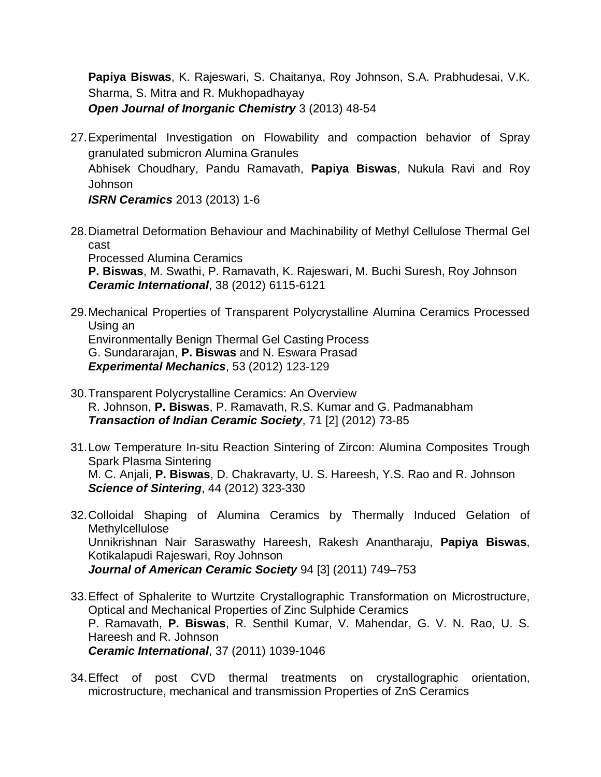**Papiya Biswas**, K. Rajeswari, S. Chaitanya, Roy Johnson, S.A. Prabhudesai, V.K. Sharma, S. Mitra and R. Mukhopadhayay *Open Journal of Inorganic Chemistry* 3 (2013) 48-54

27.Experimental Investigation on Flowability and compaction behavior of Spray granulated submicron Alumina Granules Abhisek Choudhary, Pandu Ramavath, **Papiya Biswas**, Nukula Ravi and Roy Johnson

*ISRN Ceramics* 2013 (2013) 1-6

28.Diametral Deformation Behaviour and Machinability of Methyl Cellulose Thermal Gel cast

Processed Alumina Ceramics **P. Biswas**, M. Swathi, P. Ramavath, K. Rajeswari, M. Buchi Suresh, Roy Johnson *Ceramic International*, 38 (2012) 6115-6121

- 29.Mechanical Properties of Transparent Polycrystalline Alumina Ceramics Processed Using an Environmentally Benign Thermal Gel Casting Process G. Sundararajan, **P. Biswas** and N. Eswara Prasad *Experimental Mechanics*, 53 (2012) 123-129
- 30.Transparent Polycrystalline Ceramics: An Overview R. Johnson, **P. Biswas**, P. Ramavath, R.S. Kumar and G. Padmanabham *Transaction of Indian Ceramic Society*, 71 [2] (2012) 73-85
- 31.Low Temperature In-situ Reaction Sintering of Zircon: Alumina Composites Trough Spark Plasma Sintering M. C. Anjali, **P. Biswas**, D. Chakravarty, U. S. Hareesh, Y.S. Rao and R. Johnson *Science of Sintering*, 44 (2012) 323-330
- 32.Colloidal Shaping of Alumina Ceramics by Thermally Induced Gelation of Methylcellulose Unnikrishnan Nair Saraswathy Hareesh, Rakesh Anantharaju, **Papiya Biswas**, Kotikalapudi Rajeswari, Roy Johnson *Journal of American Ceramic Society* 94 [3] (2011) 749–753
- 33.Effect of Sphalerite to Wurtzite Crystallographic Transformation on Microstructure, Optical and Mechanical Properties of Zinc Sulphide Ceramics P. Ramavath, **P. Biswas**, R. Senthil Kumar, V. Mahendar, G. V. N. Rao, U. S. Hareesh and R. Johnson *Ceramic International*, 37 (2011) 1039-1046
- 34.Effect of post CVD thermal treatments on crystallographic orientation, microstructure, mechanical and transmission Properties of ZnS Ceramics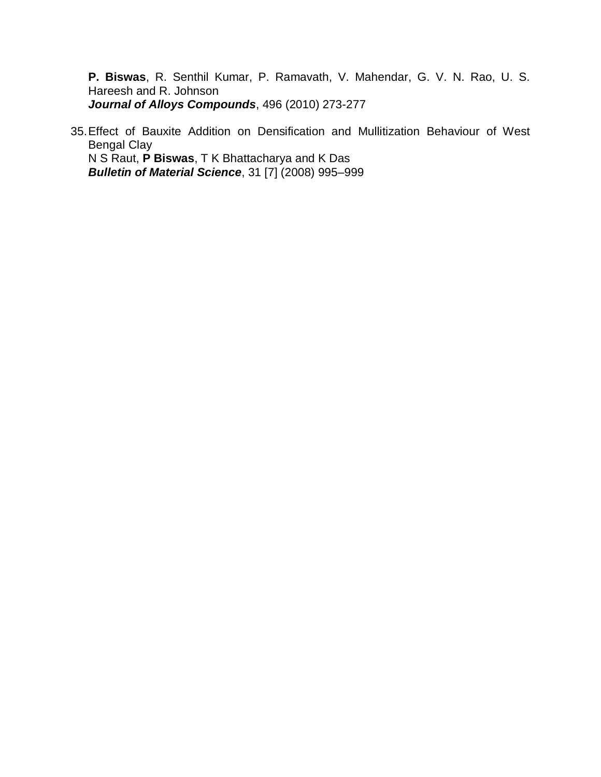**P. Biswas**, R. Senthil Kumar, P. Ramavath, V. Mahendar, G. V. N. Rao, U. S. Hareesh and R. Johnson *Journal of Alloys Compounds*, 496 (2010) 273-277

35.Effect of Bauxite Addition on Densification and Mullitization Behaviour of West Bengal Clay N S Raut, **P Biswas**, T K Bhattacharya and K Das *Bulletin of Material Science*, 31 [7] (2008) 995–999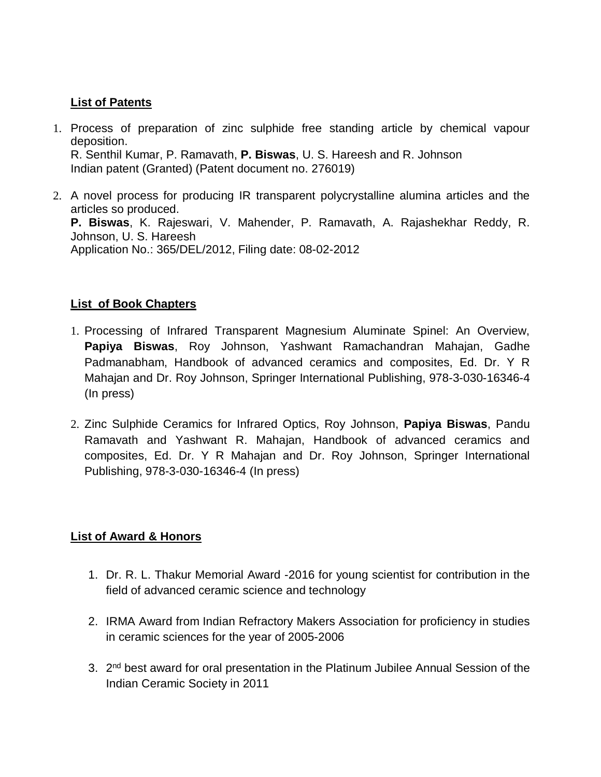#### **List of Patents**

- 1. Process of preparation of zinc sulphide free standing article by chemical vapour deposition. R. Senthil Kumar, P. Ramavath, **P. Biswas**, U. S. Hareesh and R. Johnson Indian patent (Granted) (Patent document no. 276019)
- 2. A novel process for producing IR transparent polycrystalline alumina articles and the articles so produced. **P. Biswas**, K. Rajeswari, V. Mahender, P. Ramavath, A. Rajashekhar Reddy, R. Johnson, U. S. Hareesh Application No.: 365/DEL/2012, Filing date: 08-02-2012

# **List of Book Chapters**

- 1. Processing of Infrared Transparent Magnesium Aluminate Spinel: An Overview, **Papiya Biswas**, Roy Johnson, Yashwant Ramachandran Mahajan, Gadhe Padmanabham, Handbook of advanced ceramics and composites, Ed. Dr. Y R Mahajan and Dr. Roy Johnson, Springer International Publishing, 978-3-030-16346-4 (In press)
- 2. Zinc Sulphide Ceramics for Infrared Optics, Roy Johnson, **Papiya Biswas**, Pandu Ramavath and Yashwant R. Mahajan, Handbook of advanced ceramics and composites, Ed. Dr. Y R Mahajan and Dr. Roy Johnson, Springer International Publishing, 978-3-030-16346-4 (In press)

# **List of Award & Honors**

- 1. Dr. R. L. Thakur Memorial Award -2016 for young scientist for contribution in the field of advanced ceramic science and technology
- 2. IRMA Award from Indian Refractory Makers Association for proficiency in studies in ceramic sciences for the year of 2005-2006
- 3. 2<sup>nd</sup> best award for oral presentation in the Platinum Jubilee Annual Session of the Indian Ceramic Society in 2011